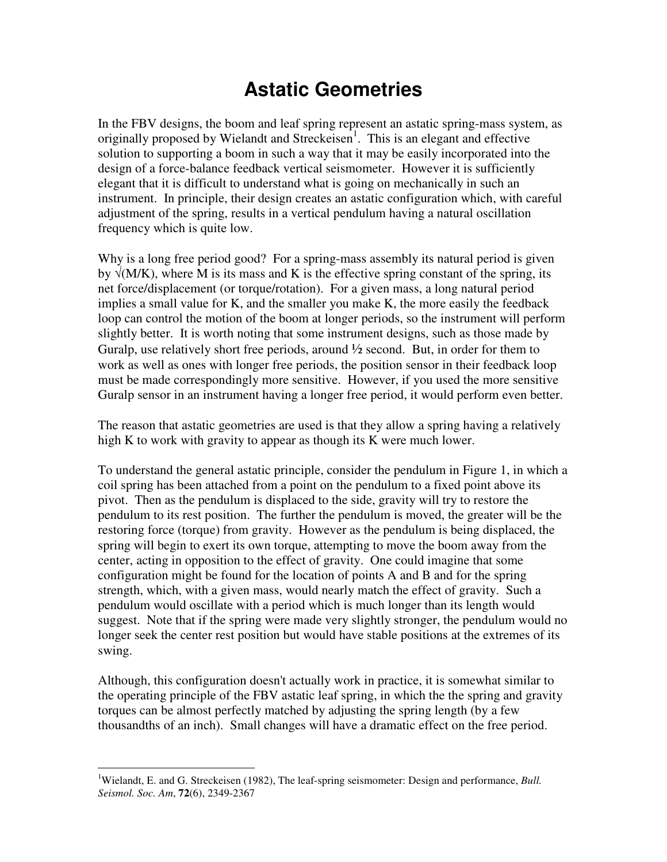## **Astatic Geometries**

In the FBV designs, the boom and leaf spring represent an astatic spring-mass system, as originally proposed by Wielandt and Streckeisen<sup>1</sup>. This is an elegant and effective solution to supporting a boom in such a way that it may be easily incorporated into the design of a force-balance feedback vertical seismometer. However it is sufficiently elegant that it is difficult to understand what is going on mechanically in such an instrument. In principle, their design creates an astatic configuration which, with careful adjustment of the spring, results in a vertical pendulum having a natural oscillation frequency which is quite low.

Why is a long free period good? For a spring-mass assembly its natural period is given by  $\sqrt{(M/K)}$ , where M is its mass and K is the effective spring constant of the spring, its net force/displacement (or torque/rotation). For a given mass, a long natural period implies a small value for K, and the smaller you make K, the more easily the feedback loop can control the motion of the boom at longer periods, so the instrument will perform slightly better. It is worth noting that some instrument designs, such as those made by Guralp, use relatively short free periods, around  $\frac{1}{2}$  second. But, in order for them to work as well as ones with longer free periods, the position sensor in their feedback loop must be made correspondingly more sensitive. However, if you used the more sensitive Guralp sensor in an instrument having a longer free period, it would perform even better.

The reason that astatic geometries are used is that they allow a spring having a relatively high K to work with gravity to appear as though its K were much lower.

To understand the general astatic principle, consider the pendulum in Figure 1, in which a coil spring has been attached from a point on the pendulum to a fixed point above its pivot. Then as the pendulum is displaced to the side, gravity will try to restore the pendulum to its rest position. The further the pendulum is moved, the greater will be the restoring force (torque) from gravity. However as the pendulum is being displaced, the spring will begin to exert its own torque, attempting to move the boom away from the center, acting in opposition to the effect of gravity. One could imagine that some configuration might be found for the location of points A and B and for the spring strength, which, with a given mass, would nearly match the effect of gravity. Such a pendulum would oscillate with a period which is much longer than its length would suggest. Note that if the spring were made very slightly stronger, the pendulum would no longer seek the center rest position but would have stable positions at the extremes of its swing.

Although, this configuration doesn't actually work in practice, it is somewhat similar to the operating principle of the FBV astatic leaf spring, in which the the spring and gravity torques can be almost perfectly matched by adjusting the spring length (by a few thousandths of an inch). Small changes will have a dramatic effect on the free period.

 $\overline{a}$ <sup>1</sup>Wielandt, E. and G. Streckeisen (1982), The leaf-spring seismometer: Design and performance, *Bull. Seismol. Soc. Am*, **72**(6), 2349-2367